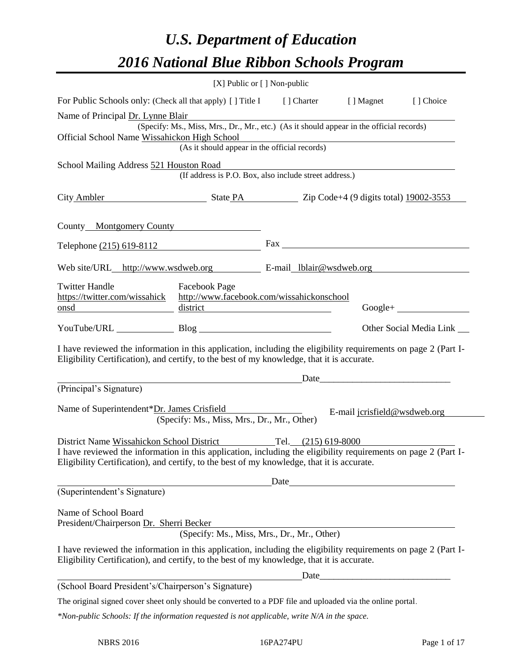# *U.S. Department of Education 2016 National Blue Ribbon Schools Program*

|                                                                                                                                                                                                                                                                               | [X] Public or $[$ ] Non-public                                                                                                            |                              |                              |
|-------------------------------------------------------------------------------------------------------------------------------------------------------------------------------------------------------------------------------------------------------------------------------|-------------------------------------------------------------------------------------------------------------------------------------------|------------------------------|------------------------------|
| For Public Schools only: (Check all that apply) [] Title I [] Charter [] Magnet                                                                                                                                                                                               |                                                                                                                                           |                              | [] Choice                    |
| Name of Principal Dr. Lynne Blair                                                                                                                                                                                                                                             |                                                                                                                                           |                              |                              |
| Official School Name Wissahickon High School                                                                                                                                                                                                                                  | (Specify: Ms., Miss, Mrs., Dr., Mr., etc.) (As it should appear in the official records)<br>(As it should appear in the official records) |                              |                              |
| School Mailing Address 521 Houston Road                                                                                                                                                                                                                                       | (If address is P.O. Box, also include street address.)                                                                                    |                              |                              |
| City Ambler State PA Zip Code+4 (9 digits total) 19002-3553                                                                                                                                                                                                                   |                                                                                                                                           |                              |                              |
| County Montgomery County                                                                                                                                                                                                                                                      |                                                                                                                                           |                              |                              |
| Telephone (215) 619-8112                                                                                                                                                                                                                                                      |                                                                                                                                           |                              |                              |
| Web site/URL_http://www.wsdweb.org E-mail_lblair@wsdweb.org                                                                                                                                                                                                                   |                                                                                                                                           |                              |                              |
| <b>Twitter Handle</b><br>https://twitter.com/wissahick<br>onsd                                                                                                                                                                                                                | Facebook Page<br>http://www.facebook.com/wissahickonschool<br>dis <u>trict</u>                                                            |                              |                              |
| YouTube/URL Blog                                                                                                                                                                                                                                                              |                                                                                                                                           |                              | Other Social Media Link ____ |
| I have reviewed the information in this application, including the eligibility requirements on page 2 (Part I-<br>Eligibility Certification), and certify, to the best of my knowledge, that it is accurate.                                                                  |                                                                                                                                           |                              |                              |
|                                                                                                                                                                                                                                                                               | <u> 1989 - Johann Barn, mars ann an t-Amhair ann an t-Amhair an t-Amhair ann an t-Amhair ann an t-Amhair ann an t-</u>                    |                              |                              |
| (Principal's Signature)                                                                                                                                                                                                                                                       |                                                                                                                                           |                              |                              |
| Name of Superintendent*Dr. James Crisfield                                                                                                                                                                                                                                    | (Specify: Ms., Miss, Mrs., Dr., Mr., Other)                                                                                               | E-mail jcrisfield@wsdweb.org |                              |
| District Name Wissahickon School District Tel. (215) 619-8000<br>I have reviewed the information in this application, including the eligibility requirements on page 2 (Part I-<br>Eligibility Certification), and certify, to the best of my knowledge, that it is accurate. |                                                                                                                                           |                              |                              |
|                                                                                                                                                                                                                                                                               |                                                                                                                                           |                              |                              |
| (Superintendent's Signature)                                                                                                                                                                                                                                                  |                                                                                                                                           |                              |                              |
| Name of School Board<br>President/Chairperson Dr. Sherri Becker                                                                                                                                                                                                               |                                                                                                                                           |                              |                              |
|                                                                                                                                                                                                                                                                               | (Specify: Ms., Miss, Mrs., Dr., Mr., Other)                                                                                               |                              |                              |
| I have reviewed the information in this application, including the eligibility requirements on page 2 (Part I-<br>Eligibility Certification), and certify, to the best of my knowledge, that it is accurate.                                                                  |                                                                                                                                           |                              |                              |
| (School Board President's/Chairperson's Signature)                                                                                                                                                                                                                            |                                                                                                                                           | Date                         |                              |
|                                                                                                                                                                                                                                                                               |                                                                                                                                           |                              |                              |
| The original signed cover sheet only should be converted to a PDF file and uploaded via the online portal.                                                                                                                                                                    |                                                                                                                                           |                              |                              |
| $*$ Non-public Schools: If the information requested is not applicable, write $N/A$ in the space.                                                                                                                                                                             |                                                                                                                                           |                              |                              |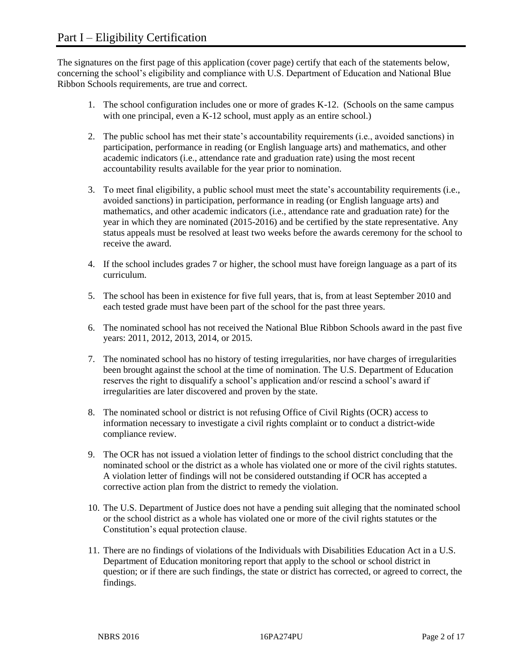The signatures on the first page of this application (cover page) certify that each of the statements below, concerning the school's eligibility and compliance with U.S. Department of Education and National Blue Ribbon Schools requirements, are true and correct.

- 1. The school configuration includes one or more of grades K-12. (Schools on the same campus with one principal, even a K-12 school, must apply as an entire school.)
- 2. The public school has met their state's accountability requirements (i.e., avoided sanctions) in participation, performance in reading (or English language arts) and mathematics, and other academic indicators (i.e., attendance rate and graduation rate) using the most recent accountability results available for the year prior to nomination.
- 3. To meet final eligibility, a public school must meet the state's accountability requirements (i.e., avoided sanctions) in participation, performance in reading (or English language arts) and mathematics, and other academic indicators (i.e., attendance rate and graduation rate) for the year in which they are nominated (2015-2016) and be certified by the state representative. Any status appeals must be resolved at least two weeks before the awards ceremony for the school to receive the award.
- 4. If the school includes grades 7 or higher, the school must have foreign language as a part of its curriculum.
- 5. The school has been in existence for five full years, that is, from at least September 2010 and each tested grade must have been part of the school for the past three years.
- 6. The nominated school has not received the National Blue Ribbon Schools award in the past five years: 2011, 2012, 2013, 2014, or 2015.
- 7. The nominated school has no history of testing irregularities, nor have charges of irregularities been brought against the school at the time of nomination. The U.S. Department of Education reserves the right to disqualify a school's application and/or rescind a school's award if irregularities are later discovered and proven by the state.
- 8. The nominated school or district is not refusing Office of Civil Rights (OCR) access to information necessary to investigate a civil rights complaint or to conduct a district-wide compliance review.
- 9. The OCR has not issued a violation letter of findings to the school district concluding that the nominated school or the district as a whole has violated one or more of the civil rights statutes. A violation letter of findings will not be considered outstanding if OCR has accepted a corrective action plan from the district to remedy the violation.
- 10. The U.S. Department of Justice does not have a pending suit alleging that the nominated school or the school district as a whole has violated one or more of the civil rights statutes or the Constitution's equal protection clause.
- 11. There are no findings of violations of the Individuals with Disabilities Education Act in a U.S. Department of Education monitoring report that apply to the school or school district in question; or if there are such findings, the state or district has corrected, or agreed to correct, the findings.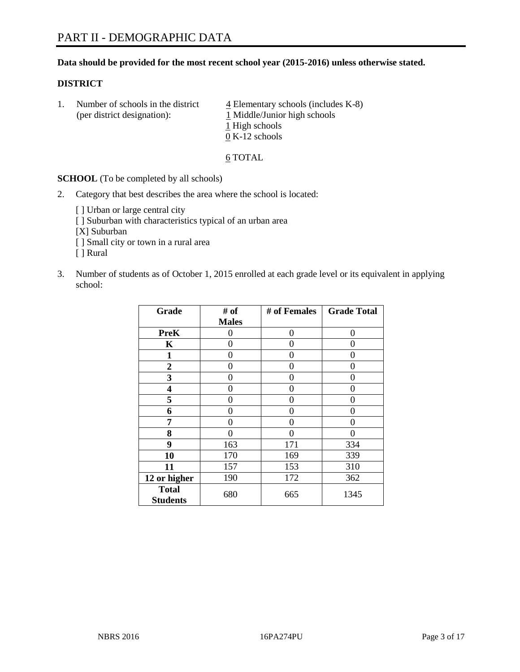# **Data should be provided for the most recent school year (2015-2016) unless otherwise stated.**

# **DISTRICT**

1. Number of schools in the district  $\frac{4}{4}$  Elementary schools (includes K-8) (per district designation):  $\frac{1 \text{ Middle/Junior high schools}}{}$ 1 High schools 0 K-12 schools

#### 6 TOTAL

**SCHOOL** (To be completed by all schools)

- 2. Category that best describes the area where the school is located:
	- [] Urban or large central city [ ] Suburban with characteristics typical of an urban area [X] Suburban [ ] Small city or town in a rural area [ ] Rural
- 3. Number of students as of October 1, 2015 enrolled at each grade level or its equivalent in applying school:

| Grade                           | # of         | # of Females | <b>Grade Total</b> |
|---------------------------------|--------------|--------------|--------------------|
|                                 | <b>Males</b> |              |                    |
| <b>PreK</b>                     | 0            | 0            | 0                  |
| $\mathbf K$                     | 0            | 0            | $\Omega$           |
| 1                               | 0            | 0            | 0                  |
| $\boldsymbol{2}$                | 0            | 0            | 0                  |
| 3                               | 0            | 0            | 0                  |
| 4                               | 0            | 0            | $\theta$           |
| 5                               | 0            | 0            | 0                  |
| 6                               | 0            | 0            | $\theta$           |
| 7                               | 0            | 0            | 0                  |
| 8                               | 0            | 0            | 0                  |
| 9                               | 163          | 171          | 334                |
| 10                              | 170          | 169          | 339                |
| 11                              | 157          | 153          | 310                |
| 12 or higher                    | 190          | 172          | 362                |
| <b>Total</b><br><b>Students</b> | 680          | 665          | 1345               |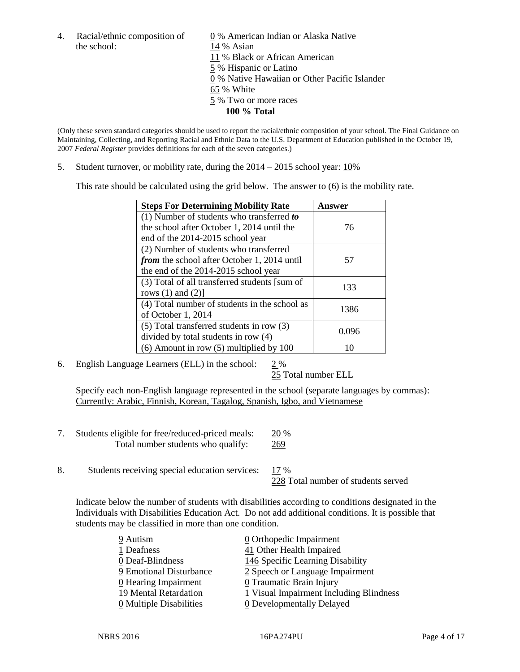the school: 14 % Asian

4. Racial/ethnic composition of  $\qquad 0\%$  American Indian or Alaska Native 11 % Black or African American 5 % Hispanic or Latino 0 % Native Hawaiian or Other Pacific Islander 65 % White 5 % Two or more races **100 % Total**

(Only these seven standard categories should be used to report the racial/ethnic composition of your school. The Final Guidance on Maintaining, Collecting, and Reporting Racial and Ethnic Data to the U.S. Department of Education published in the October 19, 2007 *Federal Register* provides definitions for each of the seven categories.)

5. Student turnover, or mobility rate, during the  $2014 - 2015$  school year:  $10\%$ 

This rate should be calculated using the grid below. The answer to (6) is the mobility rate.

| <b>Steps For Determining Mobility Rate</b>         | Answer |  |
|----------------------------------------------------|--------|--|
| $(1)$ Number of students who transferred to        |        |  |
| the school after October 1, 2014 until the         | 76     |  |
| end of the 2014-2015 school year                   |        |  |
| (2) Number of students who transferred             |        |  |
| <i>from</i> the school after October 1, 2014 until | 57     |  |
| the end of the 2014-2015 school year               |        |  |
| (3) Total of all transferred students [sum of      | 133    |  |
| rows $(1)$ and $(2)$ ]                             |        |  |
| (4) Total number of students in the school as      | 1386   |  |
| of October 1, 2014                                 |        |  |
| $(5)$ Total transferred students in row $(3)$      | 0.096  |  |
| divided by total students in row (4)               |        |  |
| $(6)$ Amount in row $(5)$ multiplied by 100        | 10     |  |

6. English Language Learners (ELL) in the school: 2 %

25 Total number ELL

Specify each non-English language represented in the school (separate languages by commas): Currently: Arabic, Finnish, Korean, Tagalog, Spanish, Igbo, and Vietnamese

| Students eligible for free/reduced-priced meals: | 20 %       |
|--------------------------------------------------|------------|
| Total number students who qualify:               | <u>269</u> |

8. Students receiving special education services: 17 % 228 Total number of students served

Indicate below the number of students with disabilities according to conditions designated in the Individuals with Disabilities Education Act. Do not add additional conditions. It is possible that students may be classified in more than one condition.

| 9 Autism                              | 0 Orthopedic Impairment                 |
|---------------------------------------|-----------------------------------------|
| 1 Deafness                            | 41 Other Health Impaired                |
| 0 Deaf-Blindness                      | 146 Specific Learning Disability        |
| 9 Emotional Disturbance               | 2 Speech or Language Impairment         |
| 0 Hearing Impairment                  | 0 Traumatic Brain Injury                |
| 19 Mental Retardation                 | 1 Visual Impairment Including Blindness |
| $\underline{0}$ Multiple Disabilities | <b>0</b> Developmentally Delayed        |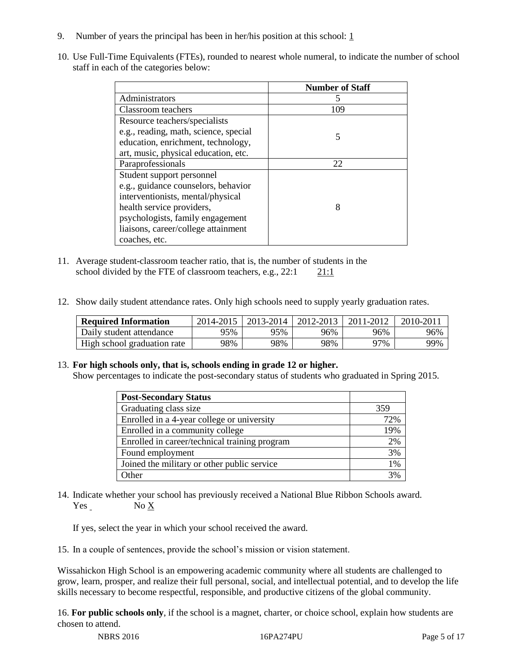- 9. Number of years the principal has been in her/his position at this school:  $1$
- 10. Use Full-Time Equivalents (FTEs), rounded to nearest whole numeral, to indicate the number of school staff in each of the categories below:

|                                       | <b>Number of Staff</b> |
|---------------------------------------|------------------------|
| Administrators                        |                        |
| Classroom teachers                    | 109                    |
| Resource teachers/specialists         |                        |
| e.g., reading, math, science, special | 5                      |
| education, enrichment, technology,    |                        |
| art, music, physical education, etc.  |                        |
| Paraprofessionals                     | 22                     |
| Student support personnel             |                        |
| e.g., guidance counselors, behavior   |                        |
| interventionists, mental/physical     |                        |
| health service providers,             | 8                      |
| psychologists, family engagement      |                        |
| liaisons, career/college attainment   |                        |
| coaches, etc.                         |                        |

- 11. Average student-classroom teacher ratio, that is, the number of students in the school divided by the FTE of classroom teachers, e.g.,  $22:1$  21:1
- 12. Show daily student attendance rates. Only high schools need to supply yearly graduation rates.

| <b>Required Information</b> | 2014-2015 | 2013-2014 | 2012-2013 | 2011-2012 | $2010 - 201$ |
|-----------------------------|-----------|-----------|-----------|-----------|--------------|
| Daily student attendance    | 95%       | 95%       | 96%       | 96%       | 96%          |
| High school graduation rate | 98%       | 98%       | 98%       | 97%       | 99%          |

# 13. **For high schools only, that is, schools ending in grade 12 or higher.**

Show percentages to indicate the post-secondary status of students who graduated in Spring 2015.

| <b>Post-Secondary Status</b>                  |     |
|-----------------------------------------------|-----|
| Graduating class size                         | 359 |
| Enrolled in a 4-year college or university    | 72% |
| Enrolled in a community college               | 19% |
| Enrolled in career/technical training program | 2%  |
| Found employment                              | 3%  |
| Joined the military or other public service   | 1%  |
| Other                                         | 3%  |

14. Indicate whether your school has previously received a National Blue Ribbon Schools award. Yes No X

If yes, select the year in which your school received the award.

15. In a couple of sentences, provide the school's mission or vision statement.

Wissahickon High School is an empowering academic community where all students are challenged to grow, learn, prosper, and realize their full personal, social, and intellectual potential, and to develop the life skills necessary to become respectful, responsible, and productive citizens of the global community.

16. **For public schools only**, if the school is a magnet, charter, or choice school, explain how students are chosen to attend.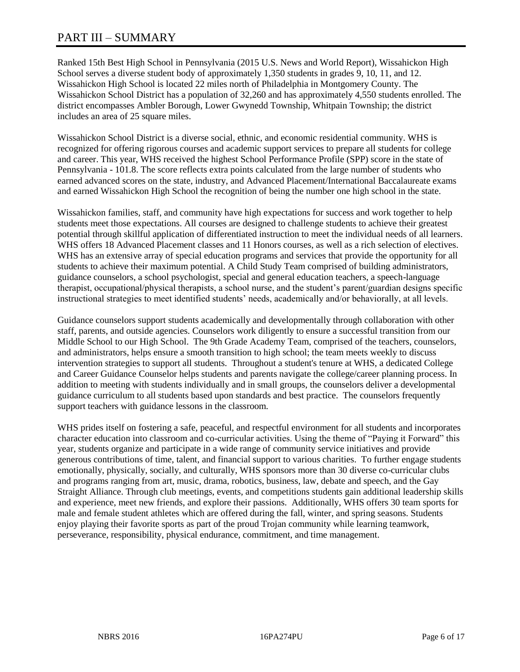# PART III – SUMMARY

Ranked 15th Best High School in Pennsylvania (2015 U.S. News and World Report), Wissahickon High School serves a diverse student body of approximately 1,350 students in grades 9, 10, 11, and 12. Wissahickon High School is located 22 miles north of Philadelphia in Montgomery County. The Wissahickon School District has a population of 32,260 and has approximately 4,550 students enrolled. The district encompasses Ambler Borough, Lower Gwynedd Township, Whitpain Township; the district includes an area of 25 square miles.

Wissahickon School District is a diverse social, ethnic, and economic residential community. WHS is recognized for offering rigorous courses and academic support services to prepare all students for college and career. This year, WHS received the highest School Performance Profile (SPP) score in the state of Pennsylvania - 101.8. The score reflects extra points calculated from the large number of students who earned advanced scores on the state, industry, and Advanced Placement/International Baccalaureate exams and earned Wissahickon High School the recognition of being the number one high school in the state.

Wissahickon families, staff, and community have high expectations for success and work together to help students meet those expectations. All courses are designed to challenge students to achieve their greatest potential through skillful application of differentiated instruction to meet the individual needs of all learners. WHS offers 18 Advanced Placement classes and 11 Honors courses, as well as a rich selection of electives. WHS has an extensive array of special education programs and services that provide the opportunity for all students to achieve their maximum potential. A Child Study Team comprised of building administrators, guidance counselors, a school psychologist, special and general education teachers, a speech-language therapist, occupational/physical therapists, a school nurse, and the student's parent/guardian designs specific instructional strategies to meet identified students' needs, academically and/or behaviorally, at all levels.

Guidance counselors support students academically and developmentally through collaboration with other staff, parents, and outside agencies. Counselors work diligently to ensure a successful transition from our Middle School to our High School. The 9th Grade Academy Team, comprised of the teachers, counselors, and administrators, helps ensure a smooth transition to high school; the team meets weekly to discuss intervention strategies to support all students. Throughout a student's tenure at WHS, a dedicated College and Career Guidance Counselor helps students and parents navigate the college/career planning process. In addition to meeting with students individually and in small groups, the counselors deliver a developmental guidance curriculum to all students based upon standards and best practice. The counselors frequently support teachers with guidance lessons in the classroom.

WHS prides itself on fostering a safe, peaceful, and respectful environment for all students and incorporates character education into classroom and co-curricular activities. Using the theme of "Paying it Forward" this year, students organize and participate in a wide range of community service initiatives and provide generous contributions of time, talent, and financial support to various charities. To further engage students emotionally, physically, socially, and culturally, WHS sponsors more than 30 diverse co-curricular clubs and programs ranging from art, music, drama, robotics, business, law, debate and speech, and the Gay Straight Alliance. Through club meetings, events, and competitions students gain additional leadership skills and experience, meet new friends, and explore their passions. Additionally, WHS offers 30 team sports for male and female student athletes which are offered during the fall, winter, and spring seasons. Students enjoy playing their favorite sports as part of the proud Trojan community while learning teamwork, perseverance, responsibility, physical endurance, commitment, and time management.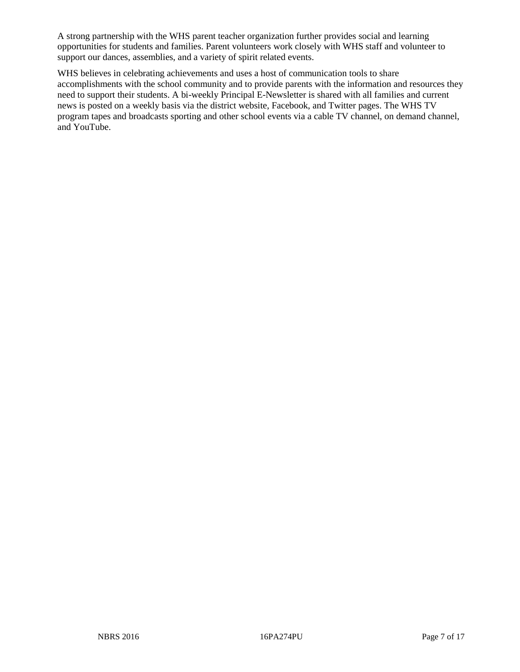A strong partnership with the WHS parent teacher organization further provides social and learning opportunities for students and families. Parent volunteers work closely with WHS staff and volunteer to support our dances, assemblies, and a variety of spirit related events.

WHS believes in celebrating achievements and uses a host of communication tools to share accomplishments with the school community and to provide parents with the information and resources they need to support their students. A bi-weekly Principal E-Newsletter is shared with all families and current news is posted on a weekly basis via the district website, Facebook, and Twitter pages. The WHS TV program tapes and broadcasts sporting and other school events via a cable TV channel, on demand channel, and YouTube.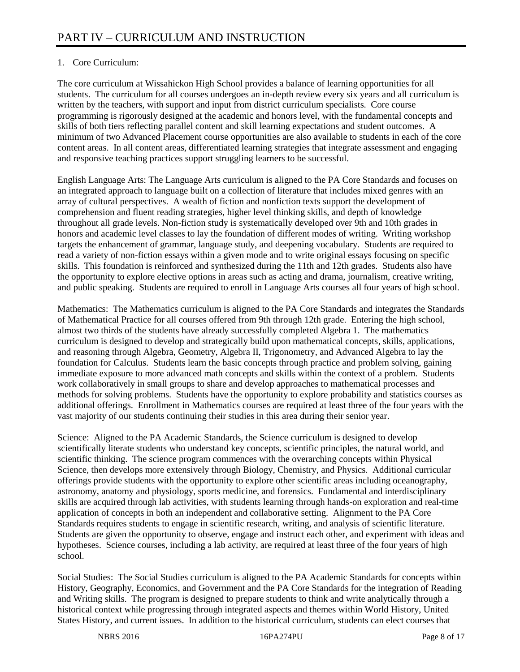# 1. Core Curriculum:

The core curriculum at Wissahickon High School provides a balance of learning opportunities for all students. The curriculum for all courses undergoes an in-depth review every six years and all curriculum is written by the teachers, with support and input from district curriculum specialists. Core course programming is rigorously designed at the academic and honors level, with the fundamental concepts and skills of both tiers reflecting parallel content and skill learning expectations and student outcomes. A minimum of two Advanced Placement course opportunities are also available to students in each of the core content areas. In all content areas, differentiated learning strategies that integrate assessment and engaging and responsive teaching practices support struggling learners to be successful.

English Language Arts: The Language Arts curriculum is aligned to the PA Core Standards and focuses on an integrated approach to language built on a collection of literature that includes mixed genres with an array of cultural perspectives. A wealth of fiction and nonfiction texts support the development of comprehension and fluent reading strategies, higher level thinking skills, and depth of knowledge throughout all grade levels. Non-fiction study is systematically developed over 9th and 10th grades in honors and academic level classes to lay the foundation of different modes of writing. Writing workshop targets the enhancement of grammar, language study, and deepening vocabulary. Students are required to read a variety of non-fiction essays within a given mode and to write original essays focusing on specific skills. This foundation is reinforced and synthesized during the 11th and 12th grades. Students also have the opportunity to explore elective options in areas such as acting and drama, journalism, creative writing, and public speaking. Students are required to enroll in Language Arts courses all four years of high school.

Mathematics: The Mathematics curriculum is aligned to the PA Core Standards and integrates the Standards of Mathematical Practice for all courses offered from 9th through 12th grade. Entering the high school, almost two thirds of the students have already successfully completed Algebra 1. The mathematics curriculum is designed to develop and strategically build upon mathematical concepts, skills, applications, and reasoning through Algebra, Geometry, Algebra II, Trigonometry, and Advanced Algebra to lay the foundation for Calculus. Students learn the basic concepts through practice and problem solving, gaining immediate exposure to more advanced math concepts and skills within the context of a problem. Students work collaboratively in small groups to share and develop approaches to mathematical processes and methods for solving problems. Students have the opportunity to explore probability and statistics courses as additional offerings. Enrollment in Mathematics courses are required at least three of the four years with the vast majority of our students continuing their studies in this area during their senior year.

Science: Aligned to the PA Academic Standards, the Science curriculum is designed to develop scientifically literate students who understand key concepts, scientific principles, the natural world, and scientific thinking. The science program commences with the overarching concepts within Physical Science, then develops more extensively through Biology, Chemistry, and Physics. Additional curricular offerings provide students with the opportunity to explore other scientific areas including oceanography, astronomy, anatomy and physiology, sports medicine, and forensics. Fundamental and interdisciplinary skills are acquired through lab activities, with students learning through hands-on exploration and real-time application of concepts in both an independent and collaborative setting. Alignment to the PA Core Standards requires students to engage in scientific research, writing, and analysis of scientific literature. Students are given the opportunity to observe, engage and instruct each other, and experiment with ideas and hypotheses. Science courses, including a lab activity, are required at least three of the four years of high school.

Social Studies: The Social Studies curriculum is aligned to the PA Academic Standards for concepts within History, Geography, Economics, and Government and the PA Core Standards for the integration of Reading and Writing skills. The program is designed to prepare students to think and write analytically through a historical context while progressing through integrated aspects and themes within World History, United States History, and current issues. In addition to the historical curriculum, students can elect courses that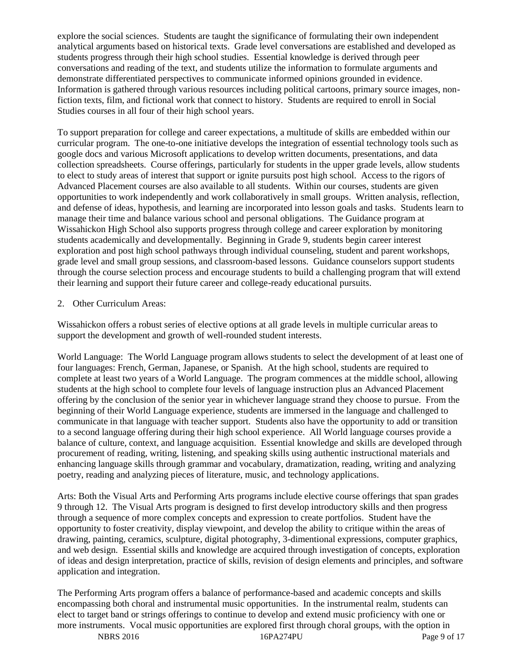explore the social sciences. Students are taught the significance of formulating their own independent analytical arguments based on historical texts. Grade level conversations are established and developed as students progress through their high school studies. Essential knowledge is derived through peer conversations and reading of the text, and students utilize the information to formulate arguments and demonstrate differentiated perspectives to communicate informed opinions grounded in evidence. Information is gathered through various resources including political cartoons, primary source images, nonfiction texts, film, and fictional work that connect to history. Students are required to enroll in Social Studies courses in all four of their high school years.

To support preparation for college and career expectations, a multitude of skills are embedded within our curricular program. The one-to-one initiative develops the integration of essential technology tools such as google docs and various Microsoft applications to develop written documents, presentations, and data collection spreadsheets. Course offerings, particularly for students in the upper grade levels, allow students to elect to study areas of interest that support or ignite pursuits post high school. Access to the rigors of Advanced Placement courses are also available to all students. Within our courses, students are given opportunities to work independently and work collaboratively in small groups. Written analysis, reflection, and defense of ideas, hypothesis, and learning are incorporated into lesson goals and tasks. Students learn to manage their time and balance various school and personal obligations. The Guidance program at Wissahickon High School also supports progress through college and career exploration by monitoring students academically and developmentally. Beginning in Grade 9, students begin career interest exploration and post high school pathways through individual counseling, student and parent workshops, grade level and small group sessions, and classroom-based lessons. Guidance counselors support students through the course selection process and encourage students to build a challenging program that will extend their learning and support their future career and college-ready educational pursuits.

# 2. Other Curriculum Areas:

Wissahickon offers a robust series of elective options at all grade levels in multiple curricular areas to support the development and growth of well-rounded student interests.

World Language: The World Language program allows students to select the development of at least one of four languages: French, German, Japanese, or Spanish. At the high school, students are required to complete at least two years of a World Language. The program commences at the middle school, allowing students at the high school to complete four levels of language instruction plus an Advanced Placement offering by the conclusion of the senior year in whichever language strand they choose to pursue. From the beginning of their World Language experience, students are immersed in the language and challenged to communicate in that language with teacher support. Students also have the opportunity to add or transition to a second language offering during their high school experience. All World language courses provide a balance of culture, context, and language acquisition. Essential knowledge and skills are developed through procurement of reading, writing, listening, and speaking skills using authentic instructional materials and enhancing language skills through grammar and vocabulary, dramatization, reading, writing and analyzing poetry, reading and analyzing pieces of literature, music, and technology applications.

Arts: Both the Visual Arts and Performing Arts programs include elective course offerings that span grades 9 through 12. The Visual Arts program is designed to first develop introductory skills and then progress through a sequence of more complex concepts and expression to create portfolios. Student have the opportunity to foster creativity, display viewpoint, and develop the ability to critique within the areas of drawing, painting, ceramics, sculpture, digital photography, 3-dimentional expressions, computer graphics, and web design. Essential skills and knowledge are acquired through investigation of concepts, exploration of ideas and design interpretation, practice of skills, revision of design elements and principles, and software application and integration.

The Performing Arts program offers a balance of performance-based and academic concepts and skills encompassing both choral and instrumental music opportunities. In the instrumental realm, students can elect to target band or strings offerings to continue to develop and extend music proficiency with one or more instruments. Vocal music opportunities are explored first through choral groups, with the option in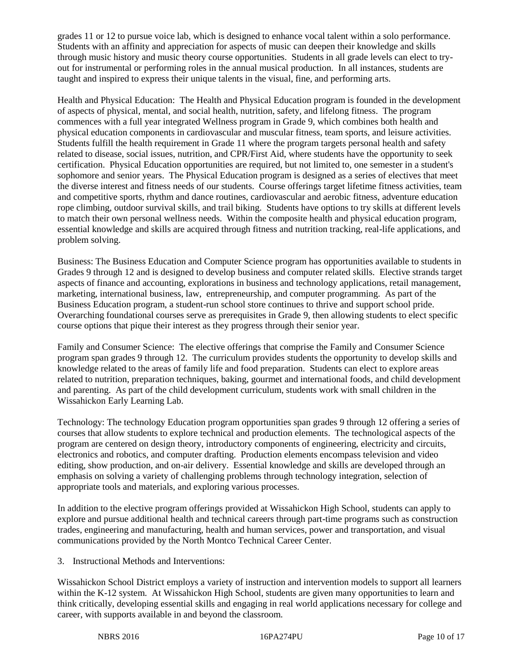grades 11 or 12 to pursue voice lab, which is designed to enhance vocal talent within a solo performance. Students with an affinity and appreciation for aspects of music can deepen their knowledge and skills through music history and music theory course opportunities. Students in all grade levels can elect to tryout for instrumental or performing roles in the annual musical production. In all instances, students are taught and inspired to express their unique talents in the visual, fine, and performing arts.

Health and Physical Education: The Health and Physical Education program is founded in the development of aspects of physical, mental, and social health, nutrition, safety, and lifelong fitness. The program commences with a full year integrated Wellness program in Grade 9, which combines both health and physical education components in cardiovascular and muscular fitness, team sports, and leisure activities. Students fulfill the health requirement in Grade 11 where the program targets personal health and safety related to disease, social issues, nutrition, and CPR/First Aid, where students have the opportunity to seek certification. Physical Education opportunities are required, but not limited to, one semester in a student's sophomore and senior years. The Physical Education program is designed as a series of electives that meet the diverse interest and fitness needs of our students. Course offerings target lifetime fitness activities, team and competitive sports, rhythm and dance routines, cardiovascular and aerobic fitness, adventure education rope climbing, outdoor survival skills, and trail biking. Students have options to try skills at different levels to match their own personal wellness needs. Within the composite health and physical education program, essential knowledge and skills are acquired through fitness and nutrition tracking, real-life applications, and problem solving.

Business: The Business Education and Computer Science program has opportunities available to students in Grades 9 through 12 and is designed to develop business and computer related skills. Elective strands target aspects of finance and accounting, explorations in business and technology applications, retail management, marketing, international business, law, entrepreneurship, and computer programming. As part of the Business Education program, a student-run school store continues to thrive and support school pride. Overarching foundational courses serve as prerequisites in Grade 9, then allowing students to elect specific course options that pique their interest as they progress through their senior year.

Family and Consumer Science: The elective offerings that comprise the Family and Consumer Science program span grades 9 through 12. The curriculum provides students the opportunity to develop skills and knowledge related to the areas of family life and food preparation. Students can elect to explore areas related to nutrition, preparation techniques, baking, gourmet and international foods, and child development and parenting. As part of the child development curriculum, students work with small children in the Wissahickon Early Learning Lab.

Technology: The technology Education program opportunities span grades 9 through 12 offering a series of courses that allow students to explore technical and production elements. The technological aspects of the program are centered on design theory, introductory components of engineering, electricity and circuits, electronics and robotics, and computer drafting. Production elements encompass television and video editing, show production, and on-air delivery. Essential knowledge and skills are developed through an emphasis on solving a variety of challenging problems through technology integration, selection of appropriate tools and materials, and exploring various processes.

In addition to the elective program offerings provided at Wissahickon High School, students can apply to explore and pursue additional health and technical careers through part-time programs such as construction trades, engineering and manufacturing, health and human services, power and transportation, and visual communications provided by the North Montco Technical Career Center.

3. Instructional Methods and Interventions:

Wissahickon School District employs a variety of instruction and intervention models to support all learners within the K-12 system. At Wissahickon High School, students are given many opportunities to learn and think critically, developing essential skills and engaging in real world applications necessary for college and career, with supports available in and beyond the classroom.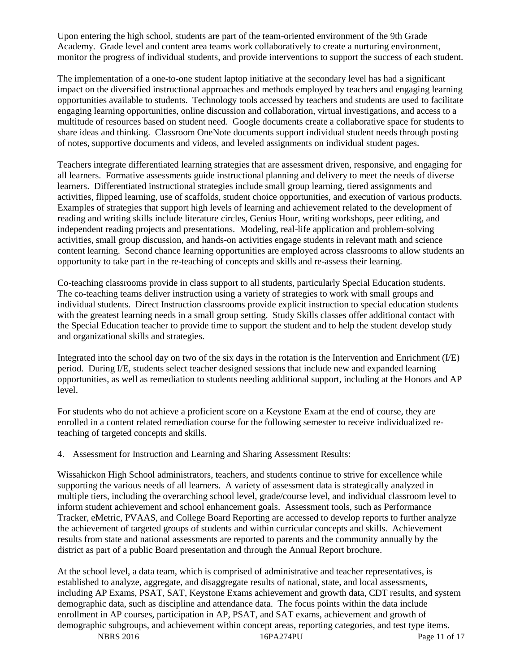Upon entering the high school, students are part of the team-oriented environment of the 9th Grade Academy. Grade level and content area teams work collaboratively to create a nurturing environment, monitor the progress of individual students, and provide interventions to support the success of each student.

The implementation of a one-to-one student laptop initiative at the secondary level has had a significant impact on the diversified instructional approaches and methods employed by teachers and engaging learning opportunities available to students. Technology tools accessed by teachers and students are used to facilitate engaging learning opportunities, online discussion and collaboration, virtual investigations, and access to a multitude of resources based on student need. Google documents create a collaborative space for students to share ideas and thinking. Classroom OneNote documents support individual student needs through posting of notes, supportive documents and videos, and leveled assignments on individual student pages.

Teachers integrate differentiated learning strategies that are assessment driven, responsive, and engaging for all learners. Formative assessments guide instructional planning and delivery to meet the needs of diverse learners. Differentiated instructional strategies include small group learning, tiered assignments and activities, flipped learning, use of scaffolds, student choice opportunities, and execution of various products. Examples of strategies that support high levels of learning and achievement related to the development of reading and writing skills include literature circles, Genius Hour, writing workshops, peer editing, and independent reading projects and presentations. Modeling, real-life application and problem-solving activities, small group discussion, and hands-on activities engage students in relevant math and science content learning. Second chance learning opportunities are employed across classrooms to allow students an opportunity to take part in the re-teaching of concepts and skills and re-assess their learning.

Co-teaching classrooms provide in class support to all students, particularly Special Education students. The co-teaching teams deliver instruction using a variety of strategies to work with small groups and individual students. Direct Instruction classrooms provide explicit instruction to special education students with the greatest learning needs in a small group setting. Study Skills classes offer additional contact with the Special Education teacher to provide time to support the student and to help the student develop study and organizational skills and strategies.

Integrated into the school day on two of the six days in the rotation is the Intervention and Enrichment (I/E) period. During I/E, students select teacher designed sessions that include new and expanded learning opportunities, as well as remediation to students needing additional support, including at the Honors and AP level.

For students who do not achieve a proficient score on a Keystone Exam at the end of course, they are enrolled in a content related remediation course for the following semester to receive individualized reteaching of targeted concepts and skills.

4. Assessment for Instruction and Learning and Sharing Assessment Results:

Wissahickon High School administrators, teachers, and students continue to strive for excellence while supporting the various needs of all learners. A variety of assessment data is strategically analyzed in multiple tiers, including the overarching school level, grade/course level, and individual classroom level to inform student achievement and school enhancement goals. Assessment tools, such as Performance Tracker, eMetric, PVAAS, and College Board Reporting are accessed to develop reports to further analyze the achievement of targeted groups of students and within curricular concepts and skills. Achievement results from state and national assessments are reported to parents and the community annually by the district as part of a public Board presentation and through the Annual Report brochure.

At the school level, a data team, which is comprised of administrative and teacher representatives, is established to analyze, aggregate, and disaggregate results of national, state, and local assessments, including AP Exams, PSAT, SAT, Keystone Exams achievement and growth data, CDT results, and system demographic data, such as discipline and attendance data. The focus points within the data include enrollment in AP courses, participation in AP, PSAT, and SAT exams, achievement and growth of demographic subgroups, and achievement within concept areas, reporting categories, and test type items.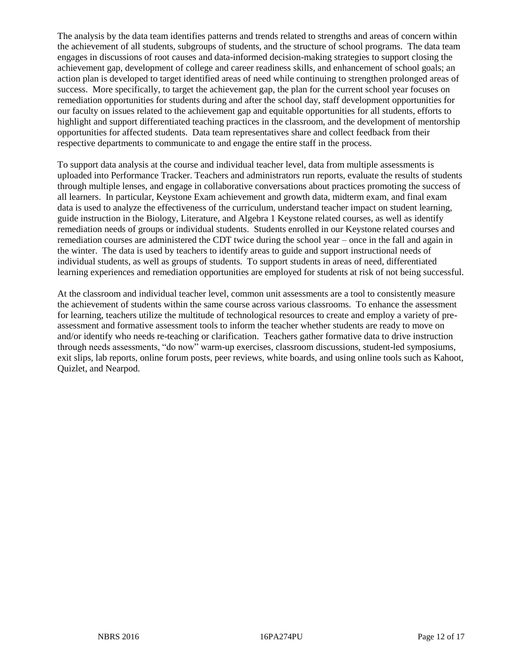The analysis by the data team identifies patterns and trends related to strengths and areas of concern within the achievement of all students, subgroups of students, and the structure of school programs. The data team engages in discussions of root causes and data-informed decision-making strategies to support closing the achievement gap, development of college and career readiness skills, and enhancement of school goals; an action plan is developed to target identified areas of need while continuing to strengthen prolonged areas of success. More specifically, to target the achievement gap, the plan for the current school year focuses on remediation opportunities for students during and after the school day, staff development opportunities for our faculty on issues related to the achievement gap and equitable opportunities for all students, efforts to highlight and support differentiated teaching practices in the classroom, and the development of mentorship opportunities for affected students. Data team representatives share and collect feedback from their respective departments to communicate to and engage the entire staff in the process.

To support data analysis at the course and individual teacher level, data from multiple assessments is uploaded into Performance Tracker. Teachers and administrators run reports, evaluate the results of students through multiple lenses, and engage in collaborative conversations about practices promoting the success of all learners. In particular, Keystone Exam achievement and growth data, midterm exam, and final exam data is used to analyze the effectiveness of the curriculum, understand teacher impact on student learning, guide instruction in the Biology, Literature, and Algebra 1 Keystone related courses, as well as identify remediation needs of groups or individual students. Students enrolled in our Keystone related courses and remediation courses are administered the CDT twice during the school year – once in the fall and again in the winter. The data is used by teachers to identify areas to guide and support instructional needs of individual students, as well as groups of students. To support students in areas of need, differentiated learning experiences and remediation opportunities are employed for students at risk of not being successful.

At the classroom and individual teacher level, common unit assessments are a tool to consistently measure the achievement of students within the same course across various classrooms. To enhance the assessment for learning, teachers utilize the multitude of technological resources to create and employ a variety of preassessment and formative assessment tools to inform the teacher whether students are ready to move on and/or identify who needs re-teaching or clarification. Teachers gather formative data to drive instruction through needs assessments, "do now" warm-up exercises, classroom discussions, student-led symposiums, exit slips, lab reports, online forum posts, peer reviews, white boards, and using online tools such as Kahoot, Quizlet, and Nearpod.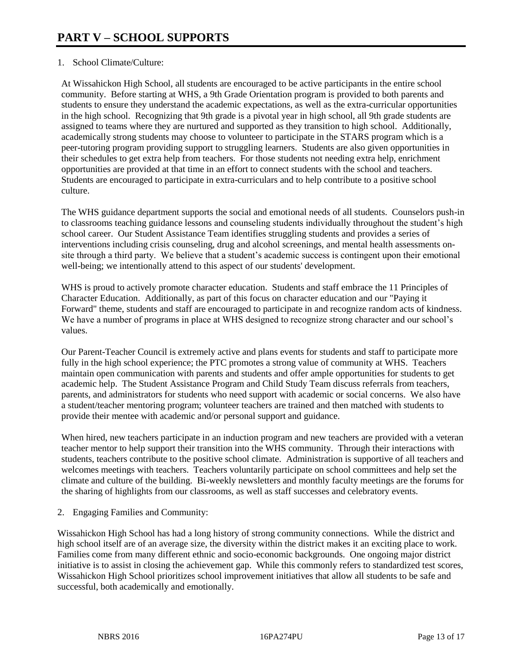# 1. School Climate/Culture:

At Wissahickon High School, all students are encouraged to be active participants in the entire school community. Before starting at WHS, a 9th Grade Orientation program is provided to both parents and students to ensure they understand the academic expectations, as well as the extra-curricular opportunities in the high school. Recognizing that 9th grade is a pivotal year in high school, all 9th grade students are assigned to teams where they are nurtured and supported as they transition to high school. Additionally, academically strong students may choose to volunteer to participate in the STARS program which is a peer-tutoring program providing support to struggling learners. Students are also given opportunities in their schedules to get extra help from teachers. For those students not needing extra help, enrichment opportunities are provided at that time in an effort to connect students with the school and teachers. Students are encouraged to participate in extra-curriculars and to help contribute to a positive school culture.

The WHS guidance department supports the social and emotional needs of all students. Counselors push-in to classrooms teaching guidance lessons and counseling students individually throughout the student's high school career. Our Student Assistance Team identifies struggling students and provides a series of interventions including crisis counseling, drug and alcohol screenings, and mental health assessments onsite through a third party. We believe that a student's academic success is contingent upon their emotional well-being; we intentionally attend to this aspect of our students' development.

WHS is proud to actively promote character education. Students and staff embrace the 11 Principles of Character Education. Additionally, as part of this focus on character education and our "Paying it Forward" theme, students and staff are encouraged to participate in and recognize random acts of kindness. We have a number of programs in place at WHS designed to recognize strong character and our school's values.

Our Parent-Teacher Council is extremely active and plans events for students and staff to participate more fully in the high school experience; the PTC promotes a strong value of community at WHS. Teachers maintain open communication with parents and students and offer ample opportunities for students to get academic help. The Student Assistance Program and Child Study Team discuss referrals from teachers, parents, and administrators for students who need support with academic or social concerns. We also have a student/teacher mentoring program; volunteer teachers are trained and then matched with students to provide their mentee with academic and/or personal support and guidance.

When hired, new teachers participate in an induction program and new teachers are provided with a veteran teacher mentor to help support their transition into the WHS community. Through their interactions with students, teachers contribute to the positive school climate. Administration is supportive of all teachers and welcomes meetings with teachers. Teachers voluntarily participate on school committees and help set the climate and culture of the building. Bi-weekly newsletters and monthly faculty meetings are the forums for the sharing of highlights from our classrooms, as well as staff successes and celebratory events.

2. Engaging Families and Community:

Wissahickon High School has had a long history of strong community connections. While the district and high school itself are of an average size, the diversity within the district makes it an exciting place to work. Families come from many different ethnic and socio-economic backgrounds. One ongoing major district initiative is to assist in closing the achievement gap. While this commonly refers to standardized test scores, Wissahickon High School prioritizes school improvement initiatives that allow all students to be safe and successful, both academically and emotionally.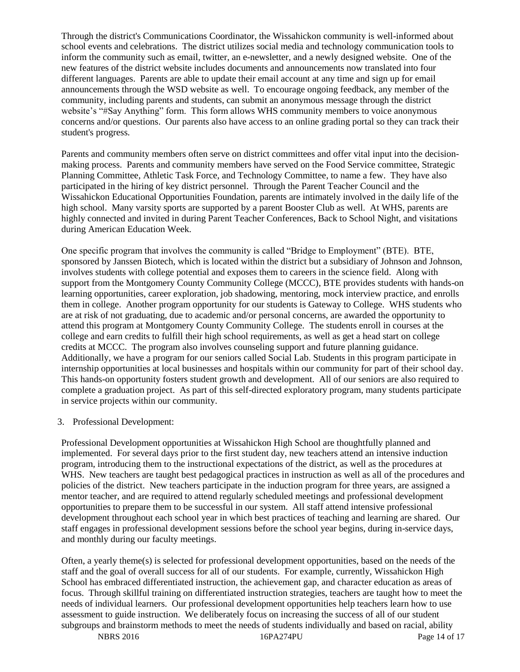Through the district's Communications Coordinator, the Wissahickon community is well-informed about school events and celebrations. The district utilizes social media and technology communication tools to inform the community such as email, twitter, an e-newsletter, and a newly designed website. One of the new features of the district website includes documents and announcements now translated into four different languages. Parents are able to update their email account at any time and sign up for email announcements through the WSD website as well. To encourage ongoing feedback, any member of the community, including parents and students, can submit an anonymous message through the district website's "#Say Anything" form. This form allows WHS community members to voice anonymous concerns and/or questions. Our parents also have access to an online grading portal so they can track their student's progress.

Parents and community members often serve on district committees and offer vital input into the decisionmaking process. Parents and community members have served on the Food Service committee, Strategic Planning Committee, Athletic Task Force, and Technology Committee, to name a few. They have also participated in the hiring of key district personnel. Through the Parent Teacher Council and the Wissahickon Educational Opportunities Foundation, parents are intimately involved in the daily life of the high school. Many varsity sports are supported by a parent Booster Club as well. At WHS, parents are highly connected and invited in during Parent Teacher Conferences, Back to School Night, and visitations during American Education Week.

One specific program that involves the community is called "Bridge to Employment" (BTE). BTE, sponsored by Janssen Biotech, which is located within the district but a subsidiary of Johnson and Johnson, involves students with college potential and exposes them to careers in the science field. Along with support from the Montgomery County Community College (MCCC), BTE provides students with hands-on learning opportunities, career exploration, job shadowing, mentoring, mock interview practice, and enrolls them in college. Another program opportunity for our students is Gateway to College. WHS students who are at risk of not graduating, due to academic and/or personal concerns, are awarded the opportunity to attend this program at Montgomery County Community College. The students enroll in courses at the college and earn credits to fulfill their high school requirements, as well as get a head start on college credits at MCCC. The program also involves counseling support and future planning guidance. Additionally, we have a program for our seniors called Social Lab. Students in this program participate in internship opportunities at local businesses and hospitals within our community for part of their school day. This hands-on opportunity fosters student growth and development. All of our seniors are also required to complete a graduation project. As part of this self-directed exploratory program, many students participate in service projects within our community.

# 3. Professional Development:

Professional Development opportunities at Wissahickon High School are thoughtfully planned and implemented. For several days prior to the first student day, new teachers attend an intensive induction program, introducing them to the instructional expectations of the district, as well as the procedures at WHS. New teachers are taught best pedagogical practices in instruction as well as all of the procedures and policies of the district. New teachers participate in the induction program for three years, are assigned a mentor teacher, and are required to attend regularly scheduled meetings and professional development opportunities to prepare them to be successful in our system. All staff attend intensive professional development throughout each school year in which best practices of teaching and learning are shared. Our staff engages in professional development sessions before the school year begins, during in-service days, and monthly during our faculty meetings.

Often, a yearly theme(s) is selected for professional development opportunities, based on the needs of the staff and the goal of overall success for all of our students. For example, currently, Wissahickon High School has embraced differentiated instruction, the achievement gap, and character education as areas of focus. Through skillful training on differentiated instruction strategies, teachers are taught how to meet the needs of individual learners. Our professional development opportunities help teachers learn how to use assessment to guide instruction. We deliberately focus on increasing the success of all of our student subgroups and brainstorm methods to meet the needs of students individually and based on racial, ability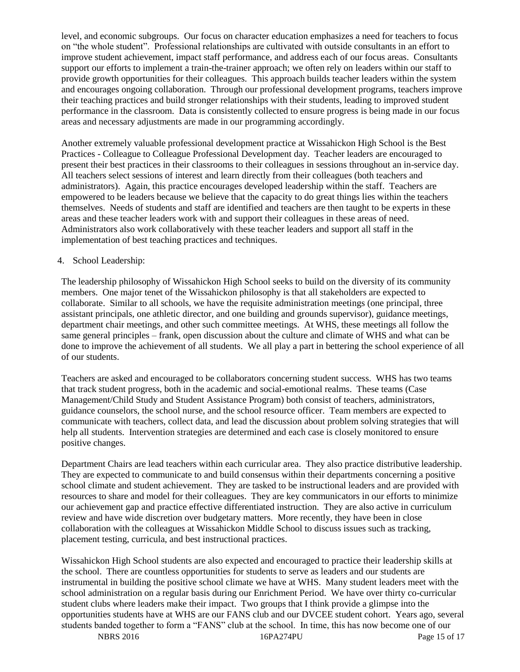level, and economic subgroups. Our focus on character education emphasizes a need for teachers to focus on "the whole student". Professional relationships are cultivated with outside consultants in an effort to improve student achievement, impact staff performance, and address each of our focus areas. Consultants support our efforts to implement a train-the-trainer approach; we often rely on leaders within our staff to provide growth opportunities for their colleagues. This approach builds teacher leaders within the system and encourages ongoing collaboration. Through our professional development programs, teachers improve their teaching practices and build stronger relationships with their students, leading to improved student performance in the classroom. Data is consistently collected to ensure progress is being made in our focus areas and necessary adjustments are made in our programming accordingly.

Another extremely valuable professional development practice at Wissahickon High School is the Best Practices - Colleague to Colleague Professional Development day. Teacher leaders are encouraged to present their best practices in their classrooms to their colleagues in sessions throughout an in-service day. All teachers select sessions of interest and learn directly from their colleagues (both teachers and administrators). Again, this practice encourages developed leadership within the staff. Teachers are empowered to be leaders because we believe that the capacity to do great things lies within the teachers themselves. Needs of students and staff are identified and teachers are then taught to be experts in these areas and these teacher leaders work with and support their colleagues in these areas of need. Administrators also work collaboratively with these teacher leaders and support all staff in the implementation of best teaching practices and techniques.

# 4. School Leadership:

The leadership philosophy of Wissahickon High School seeks to build on the diversity of its community members. One major tenet of the Wissahickon philosophy is that all stakeholders are expected to collaborate. Similar to all schools, we have the requisite administration meetings (one principal, three assistant principals, one athletic director, and one building and grounds supervisor), guidance meetings, department chair meetings, and other such committee meetings. At WHS, these meetings all follow the same general principles – frank, open discussion about the culture and climate of WHS and what can be done to improve the achievement of all students. We all play a part in bettering the school experience of all of our students.

Teachers are asked and encouraged to be collaborators concerning student success. WHS has two teams that track student progress, both in the academic and social-emotional realms. These teams (Case Management/Child Study and Student Assistance Program) both consist of teachers, administrators, guidance counselors, the school nurse, and the school resource officer. Team members are expected to communicate with teachers, collect data, and lead the discussion about problem solving strategies that will help all students. Intervention strategies are determined and each case is closely monitored to ensure positive changes.

Department Chairs are lead teachers within each curricular area. They also practice distributive leadership. They are expected to communicate to and build consensus within their departments concerning a positive school climate and student achievement. They are tasked to be instructional leaders and are provided with resources to share and model for their colleagues. They are key communicators in our efforts to minimize our achievement gap and practice effective differentiated instruction. They are also active in curriculum review and have wide discretion over budgetary matters. More recently, they have been in close collaboration with the colleagues at Wissahickon Middle School to discuss issues such as tracking, placement testing, curricula, and best instructional practices.

Wissahickon High School students are also expected and encouraged to practice their leadership skills at the school. There are countless opportunities for students to serve as leaders and our students are instrumental in building the positive school climate we have at WHS. Many student leaders meet with the school administration on a regular basis during our Enrichment Period. We have over thirty co-curricular student clubs where leaders make their impact. Two groups that I think provide a glimpse into the opportunities students have at WHS are our FANS club and our DVCEE student cohort. Years ago, several students banded together to form a "FANS" club at the school. In time, this has now become one of our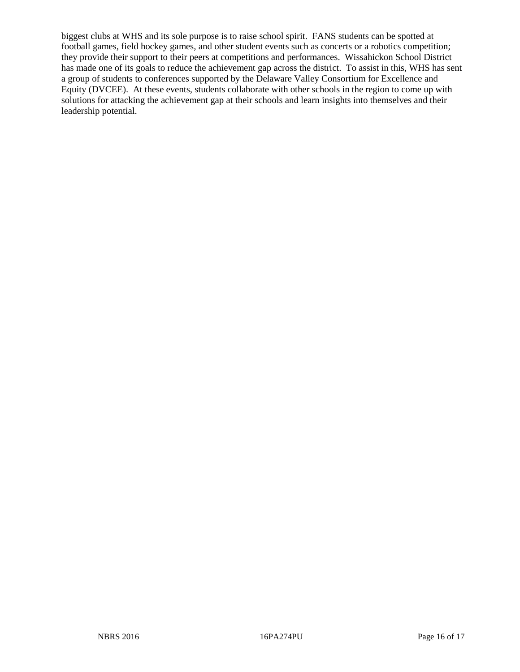biggest clubs at WHS and its sole purpose is to raise school spirit. FANS students can be spotted at football games, field hockey games, and other student events such as concerts or a robotics competition; they provide their support to their peers at competitions and performances. Wissahickon School District has made one of its goals to reduce the achievement gap across the district. To assist in this, WHS has sent a group of students to conferences supported by the Delaware Valley Consortium for Excellence and Equity (DVCEE). At these events, students collaborate with other schools in the region to come up with solutions for attacking the achievement gap at their schools and learn insights into themselves and their leadership potential.